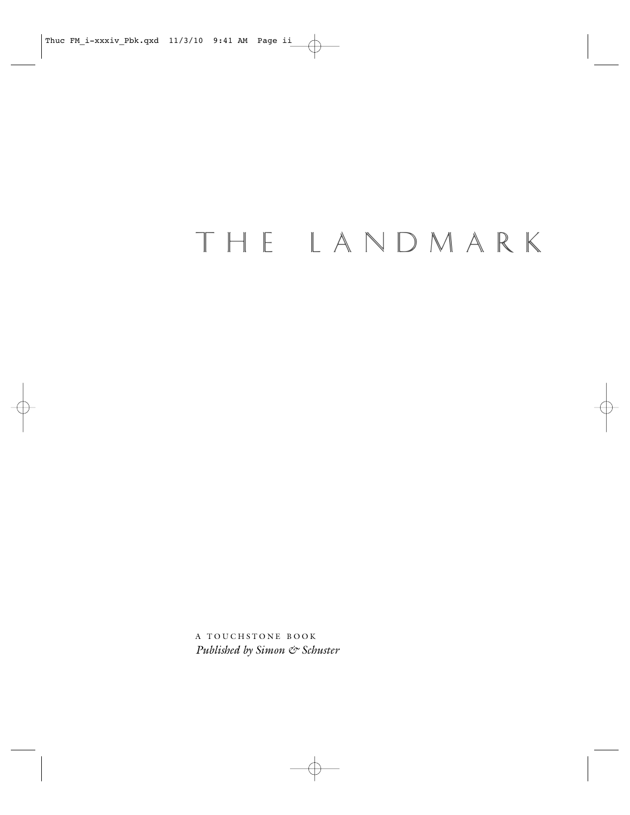# TH E LANDMARK

A TOUCHSTONE BOOK *Published by Simon & Schuster*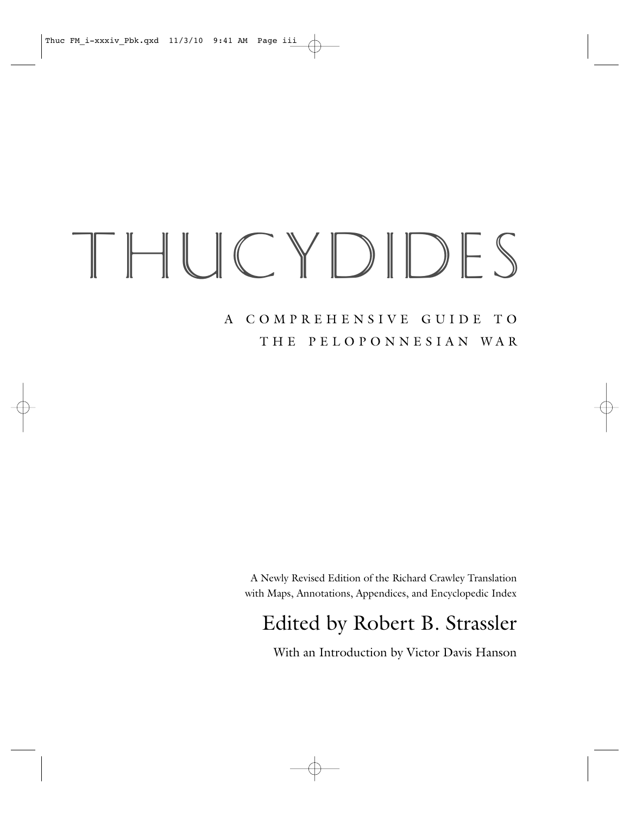# THUCYDIDES

### A COMPREHENSIVE GUIDE TO THE PELOPONNESIAN WAR

A Newly Revised Edition of the Richard Crawley Translation with Maps, Annotations, Appendices, and Encyclopedic Index

## Edited by Robert B. Strassler

With an Introduction by Victor Davis Hanson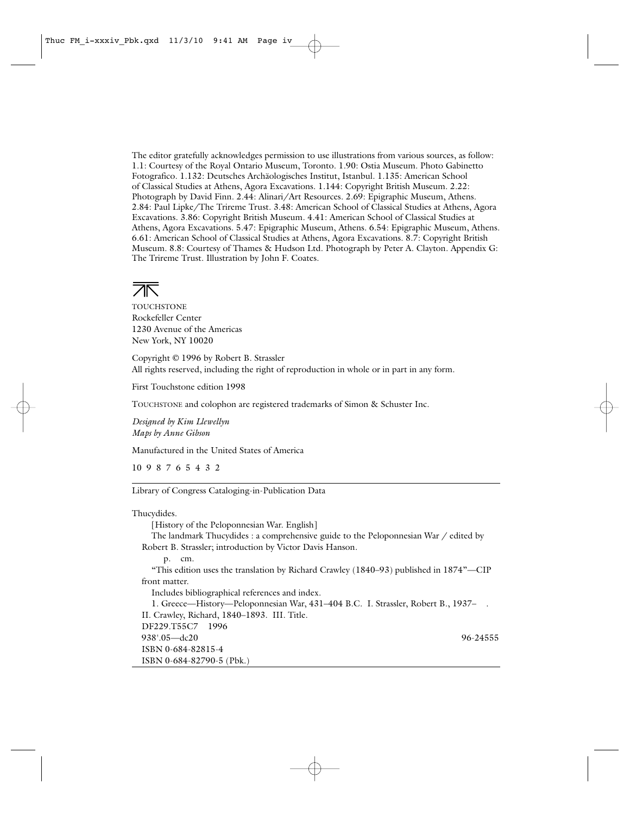The editor gratefully acknowledges permission to use illustrations from various sources, as follow: 1.1: Courtesy of the Royal Ontario Museum, Toronto. 1.90: Ostia Museum. Photo Gabinetto Fotografico. 1.132: Deutsches Archäologisches Institut, Istanbul. 1.135: American School of Classical Studies at Athens, Agora Excavations. 1.144: Copyright British Museum. 2.22: Photograph by David Finn. 2.44: Alinari/Art Resources. 2.69: Epigraphic Museum, Athens. 2.84: Paul Lipke/The Trireme Trust. 3.48: American School of Classical Studies at Athens, Agora Excavations. 3.86: Copyright British Museum. 4.41: American School of Classical Studies at Athens, Agora Excavations. 5.47: Epigraphic Museum, Athens. 6.54: Epigraphic Museum, Athens. 6.61: American School of Classical Studies at Athens, Agora Excavations. 8.7: Copyright British Museum. 8.8: Courtesy of Thames & Hudson Ltd. Photograph by Peter A. Clayton. Appendix G: The Trireme Trust. Illustration by John F. Coates.

**TOUCHSTONE** Rockefeller Center 1230 Avenue of the Americas New York, NY 10020

Copyright © 1996 by Robert B. Strassler All rights reserved, including the right of reproduction in whole or in part in any form.

First Touchstone edition 1998

TOUCHSTONE and colophon are registered trademarks of Simon & Schuster Inc.

*Designed by Kim Llewellyn Maps by Anne Gibson*

Manufactured in the United States of America

10 9 8 7 6 5 4 3 2

Library of Congress Cataloging-in-Publication Data

#### Thucydides.

[History of the Peloponnesian War. English] The landmark Thucydides : a comprehensive guide to the Peloponnesian War / edited by Robert B. Strassler; introduction by Victor Davis Hanson. p. cm. "This edition uses the translation by Richard Crawley (1840–93) published in 1874"—CIP front matter. Includes bibliographical references and index. 1. Greece—History—Peloponnesian War, 431–404 B.C. I. Strassler, Robert B., 1937– . II. Crawley, Richard, 1840–1893. III. Title. DF229.T55C7 1996 938'.05—dc20 96-24555 ISBN 0-684-82815-4 ISBN 0-684-82790-5 (Pbk.)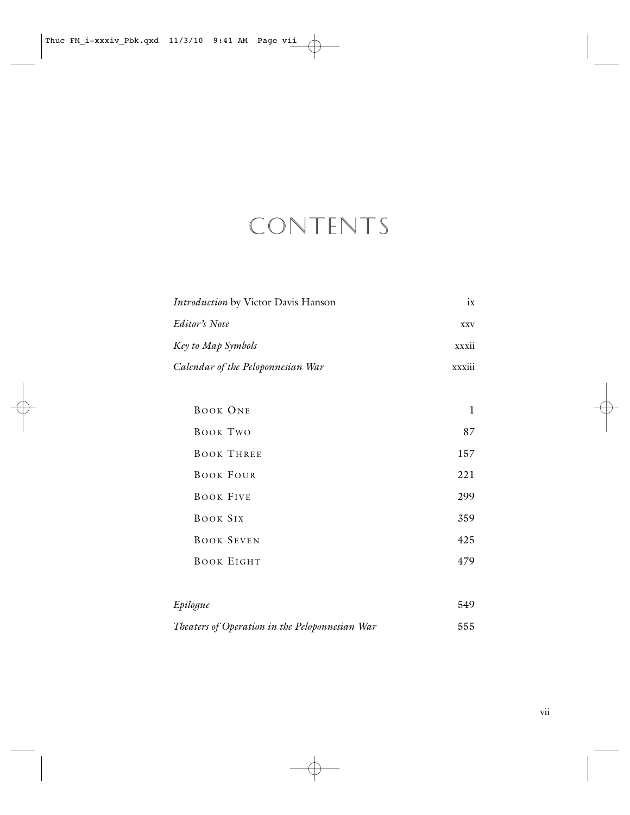# CONTENTS

| Introduction by Victor Davis Hanson | 1X            |
|-------------------------------------|---------------|
| Editor's Note                       | XXV           |
| Key to Map Symbols                  | <b>XXX11</b>  |
| Calendar of the Peloponnesian War   | <b>XXX111</b> |

| <b>BOOK ONE</b>   | 1   |
|-------------------|-----|
| <b>BOOK TWO</b>   | 87  |
| <b>BOOK THREE</b> | 157 |
| <b>BOOK FOUR</b>  | 221 |
| <b>BOOK FIVE</b>  | 299 |
| <b>BOOK SIX</b>   | 359 |
| <b>BOOK SEVEN</b> | 425 |
| <b>BOOK EIGHT</b> | 479 |

| Epilogue                                       | 549 |
|------------------------------------------------|-----|
| Theaters of Operation in the Peloponnesian War | 555 |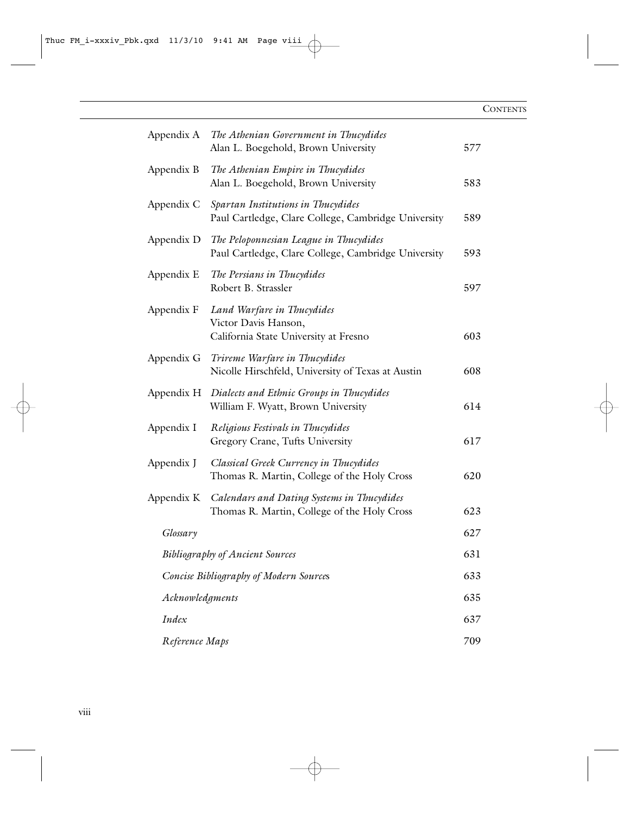| Appendix A      | The Athenian Government in Thucydides<br>Alan L. Boegehold, Brown University                  | 577 |
|-----------------|-----------------------------------------------------------------------------------------------|-----|
| Appendix B      | The Athenian Empire in Thucydides<br>Alan L. Boegehold, Brown University                      | 583 |
| Appendix C      | Spartan Institutions in Thucydides<br>Paul Cartledge, Clare College, Cambridge University     | 589 |
| Appendix D      | The Peloponnesian League in Thucydides<br>Paul Cartledge, Clare College, Cambridge University | 593 |
| Appendix E      | The Persians in Thucydides<br>Robert B. Strassler                                             | 597 |
| Appendix F      | Land Warfare in Thucydides<br>Victor Davis Hanson,<br>California State University at Fresno   | 603 |
| Appendix G      | Trireme Warfare in Thucydides<br>Nicolle Hirschfeld, University of Texas at Austin            | 608 |
| Appendix H      | Dialects and Ethnic Groups in Thucydides<br>William F. Wyatt, Brown University                | 614 |
| Appendix I      | Religious Festivals in Thucydides<br>Gregory Crane, Tufts University                          | 617 |
| Appendix J      | Classical Greek Currency in Thucydides<br>Thomas R. Martin, College of the Holy Cross         | 620 |
| Appendix K      | Calendars and Dating Systems in Thucydides<br>Thomas R. Martin, College of the Holy Cross     | 623 |
| Glossary        |                                                                                               | 627 |
|                 | <b>Bibliography of Ancient Sources</b>                                                        | 631 |
|                 | Concise Bibliography of Modern Sources                                                        | 633 |
| Acknowledgments |                                                                                               | 635 |
| Index           |                                                                                               | 637 |
| Reference Maps  |                                                                                               | 709 |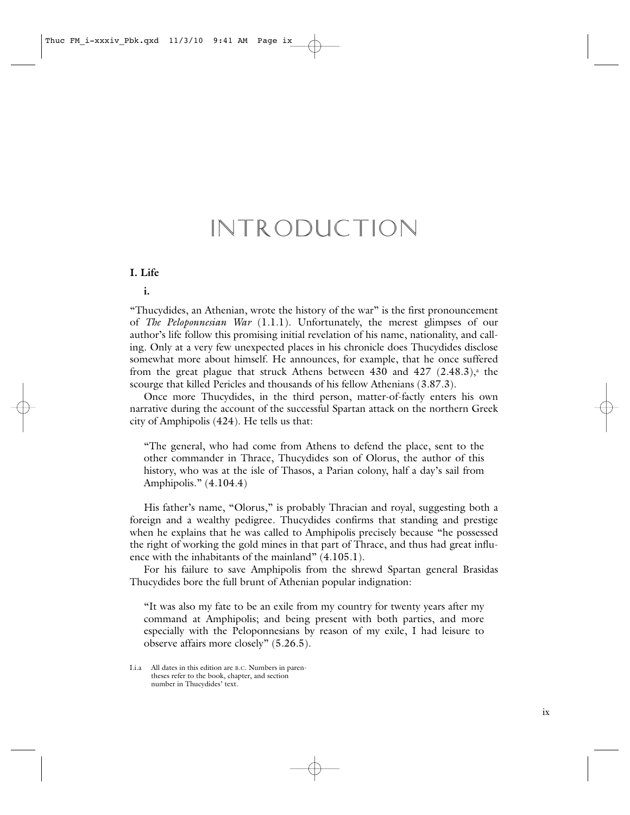# INTRODUCTION

#### **I. Life**

**i.**

"Thucydides, an Athenian, wrote the history of the war" is the first pronouncement of *The Peloponnesian War* (1.1.1). Unfortunately, the merest glimpses of our author's life follow this promising initial revelation of his name, nationality, and calling. Only at a very few unexpected places in his chronicle does Thucydides disclose somewhat more about himself. He announces, for example, that he once suffered from the great plague that struck Athens between 430 and 427  $(2.48.3)$ ,<sup>a</sup> the scourge that killed Pericles and thousands of his fellow Athenians (3.87.3).

Once more Thucydides, in the third person, matter-of-factly enters his own narrative during the account of the successful Spartan attack on the northern Greek city of Amphipolis (424). He tells us that:

"The general, who had come from Athens to defend the place, sent to the other commander in Thrace, Thucydides son of Olorus, the author of this history, who was at the isle of Thasos, a Parian colony, half a day's sail from Amphipolis." (4.104.4)

His father's name, "Olorus," is probably Thracian and royal, suggesting both a foreign and a wealthy pedigree. Thucydides confirms that standing and prestige when he explains that he was called to Amphipolis precisely because "he possessed the right of working the gold mines in that part of Thrace, and thus had great influence with the inhabitants of the mainland" (4.105.1).

For his failure to save Amphipolis from the shrewd Spartan general Brasidas Thucydides bore the full brunt of Athenian popular indignation:

"It was also my fate to be an exile from my country for twenty years after my command at Amphipolis; and being present with both parties, and more especially with the Peloponnesians by reason of my exile, I had leisure to observe affairs more closely" (5.26.5).

I.i.a All dates in this edition are B.C. Numbers in parentheses refer to the book, chapter, and section number in Thucydides' text.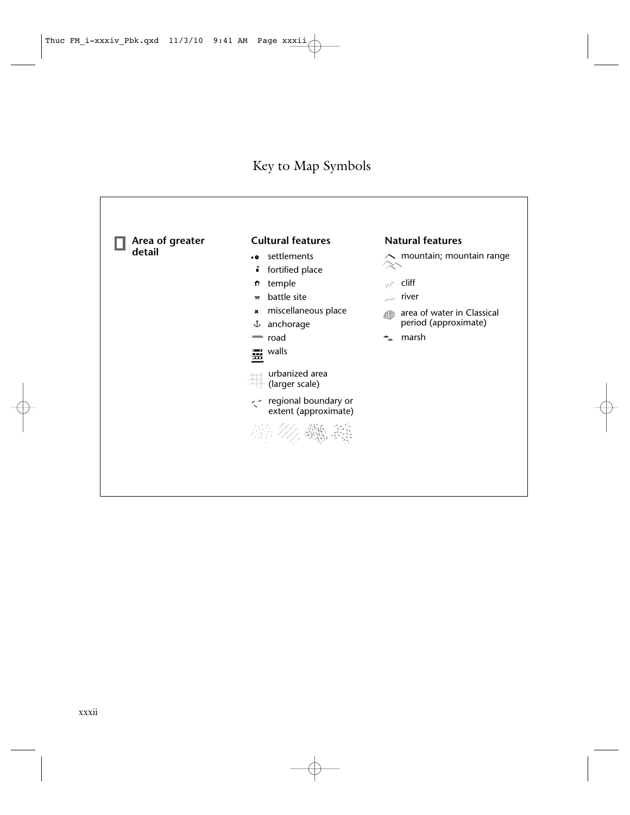Key to Map Symbols

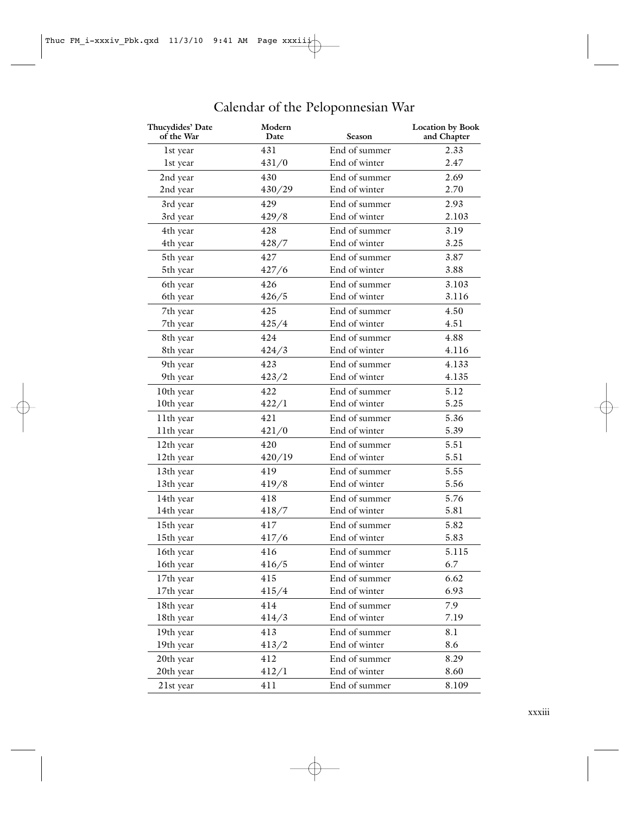| Thucydides' Date<br>of the War | Modern<br>Date | Season        | <b>Location by Book</b><br>and Chapter |
|--------------------------------|----------------|---------------|----------------------------------------|
| 1st year                       | 431            | End of summer | 2.33                                   |
| 1st year                       | 431/0          | End of winter | 2.47                                   |
| 2nd year                       | 430            | End of summer | 2.69                                   |
| 2nd year                       | 430/29         | End of winter | 2.70                                   |
| 3rd year                       | 429            | End of summer | 2.93                                   |
| 3rd year                       | 429/8          | End of winter | 2.103                                  |
| 4th year                       | 428            | End of summer | 3.19                                   |
| 4th year                       | 428/7          | End of winter | 3.25                                   |
| 5th year                       | 427            | End of summer | 3.87                                   |
| 5th year                       | 427/6          | End of winter | 3.88                                   |
| 6th year                       | 426            | End of summer | 3.103                                  |
| 6th year                       | 426/5          | End of winter | 3.116                                  |
| 7th year                       | 425            | End of summer | 4.50                                   |
| 7th year                       | 425/4          | End of winter | 4.51                                   |
| 8th year                       | 424            | End of summer | 4.88                                   |
| 8th year                       | 424/3          | End of winter | 4.116                                  |
| 9th year                       | 423            | End of summer | 4.133                                  |
| 9th year                       | 423/2          | End of winter | 4.135                                  |
| 10th year                      | 422            | End of summer | 5.12                                   |
| 10th year                      | 422/1          | End of winter | 5.25                                   |
| 11th year                      | 421            | End of summer | 5.36                                   |
| 11th year                      | 421/0          | End of winter | 5.39                                   |
| 12th year                      | 420            | End of summer | 5.51                                   |
| 12th year                      | 420/19         | End of winter | 5.51                                   |
| 13th year                      | 419            | End of summer | 5.55                                   |
| 13th year                      | 419/8          | End of winter | 5.56                                   |
| 14th year                      | 418            | End of summer | 5.76                                   |
| 14th year                      | 418/7          | End of winter | 5.81                                   |
| 15th year                      | 417            | End of summer | 5.82                                   |
| 15th year                      | 417/6          | End of winter | 5.83                                   |
| 16th year                      | 416            | End of summer | 5.115                                  |
| 16th year                      | 416/5          | End of winter | 6.7                                    |
| 17th year                      | 415            | End of summer | 6.62                                   |
| 17th year                      | 415/4          | End of winter | 6.93                                   |
| 18th year                      | 414            | End of summer | 7.9                                    |
| 18th year                      | 414/3          | End of winter | 7.19                                   |
| 19th year                      | 413            | End of summer | 8.1                                    |
| 19th year                      | 413/2          | End of winter | 8.6                                    |
| 20th year                      | 412            | End of summer | 8.29                                   |
| 20th year                      | 412/1          | End of winter | 8.60                                   |
| 21st year                      | 411            | End of summer | 8.109                                  |

### Calendar of the Peloponnesian War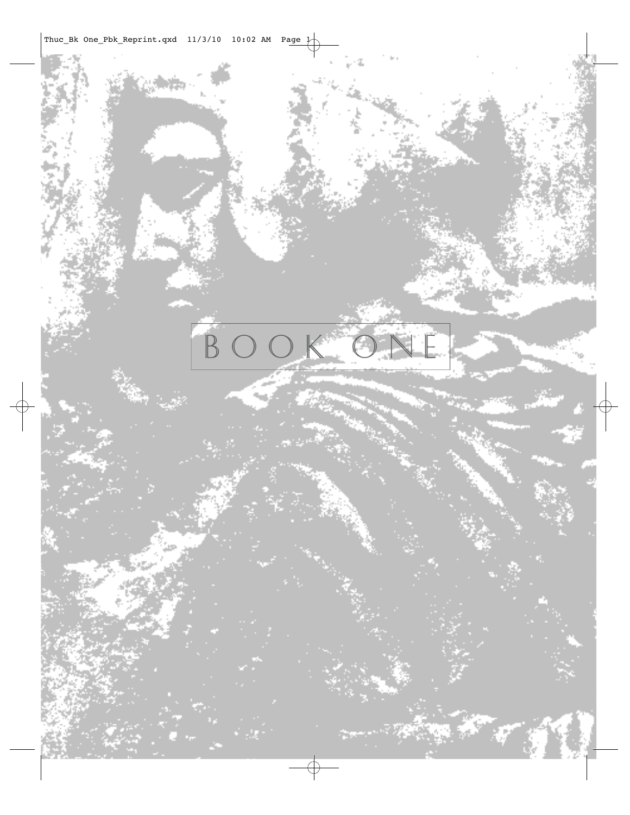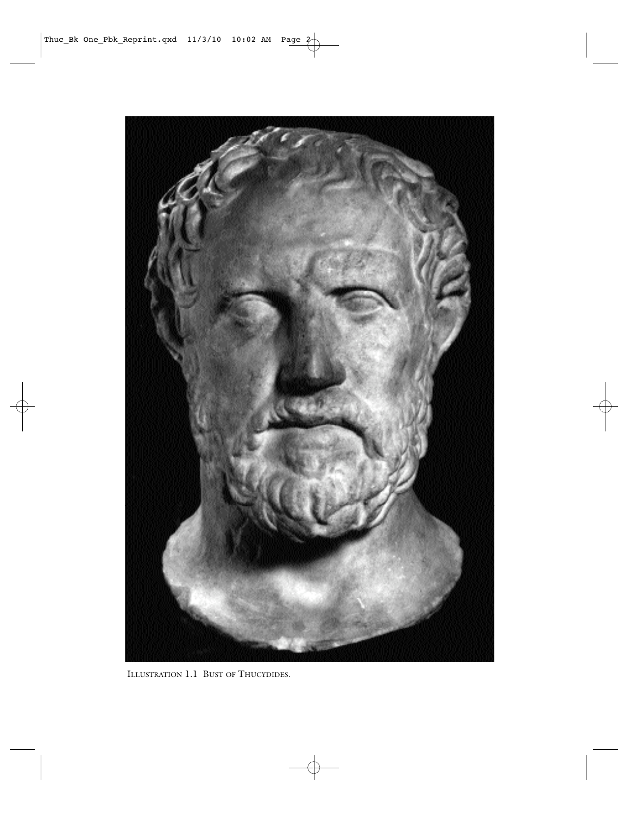

ILLUSTRATION 1.1 BUST OF THUCYDIDES.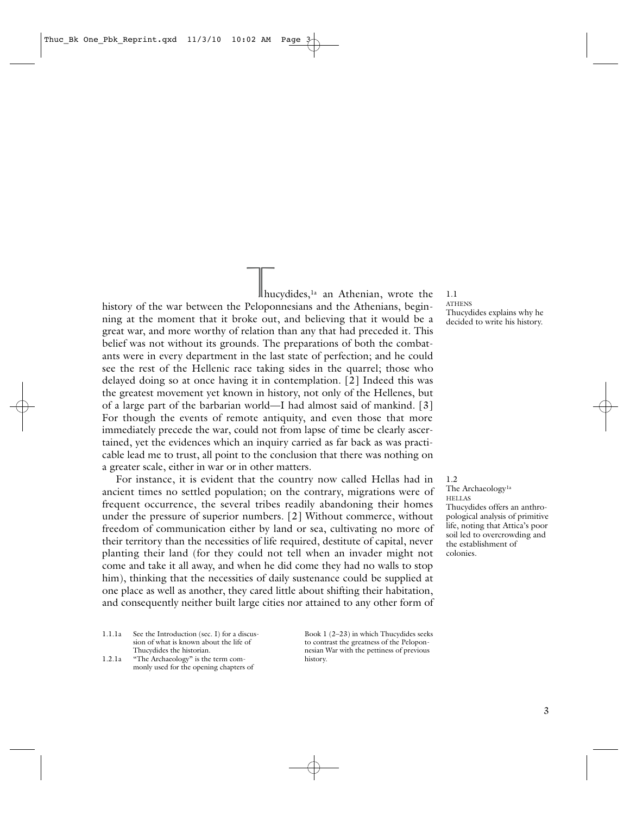$\int$ hucydides,<sup>1a</sup> an Athenian, wrote the

history of the war between the Peloponnesians and the Athenians, beginning at the moment that it broke out, and believing that it would be a great war, and more worthy of relation than any that had preceded it. This belief was not without its grounds. The preparations of both the combatants were in every department in the last state of perfection; and he could see the rest of the Hellenic race taking sides in the quarrel; those who delayed doing so at once having it in contemplation. [2] Indeed this was the greatest movement yet known in history, not only of the Hellenes, but of a large part of the barbarian world—I had almost said of mankind. [3] For though the events of remote antiquity, and even those that more immediately precede the war, could not from lapse of time be clearly ascertained, yet the evidences which an inquiry carried as far back as was practicable lead me to trust, all point to the conclusion that there was nothing on a greater scale, either in war or in other matters.

For instance, it is evident that the country now called Hellas had in ancient times no settled population; on the contrary, migrations were of frequent occurrence, the several tribes readily abandoning their homes under the pressure of superior numbers. [2] Without commerce, without freedom of communication either by land or sea, cultivating no more of their territory than the necessities of life required, destitute of capital, never planting their land (for they could not tell when an invader might not come and take it all away, and when he did come they had no walls to stop him), thinking that the necessities of daily sustenance could be supplied at one place as well as another, they cared little about shifting their habitation, and consequently neither built large cities nor attained to any other form of

1.1.1a See the Introduction (sec. I) for a discussion of what is known about the life of Thucydides the historian.

1.2.1a "The Archaeology" is the term commonly used for the opening chapters of

Book 1 (2–23) in which Thucydides seeks to contrast the greatness of the Peloponnesian War with the pettiness of previous history.

1.1 ATHENS Thucydides explains why he decided to write his history.

1.2 The Archaeology<sup>1a</sup> HELLAS Thucydides offers an anthropological analysis of primitive life, noting that Attica's poor soil led to overcrowding and the establishment of colonies.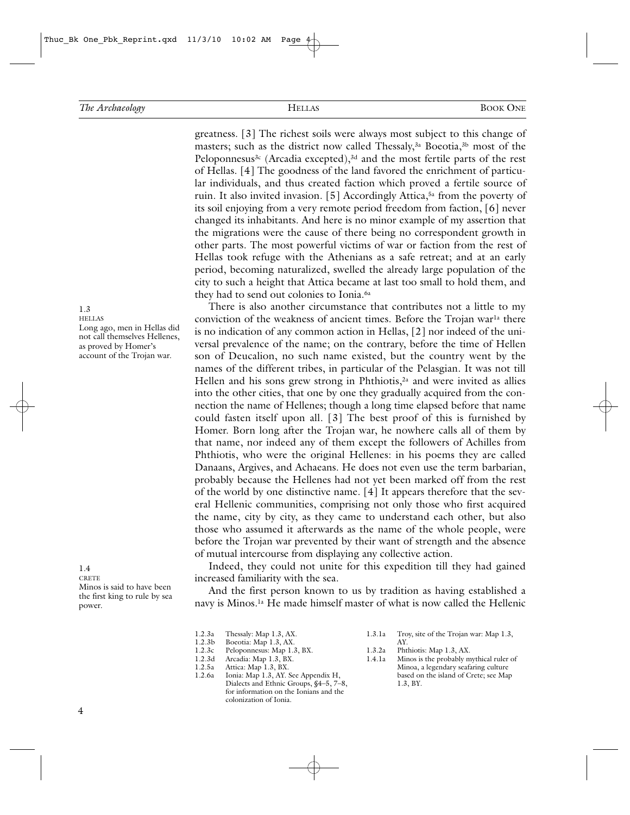greatness. [3] The richest soils were always most subject to this change of masters; such as the district now called Thessaly,<sup>3a</sup> Boeotia,<sup>3b</sup> most of the Peloponnesus<sup>3c</sup> (Arcadia excepted),<sup>3d</sup> and the most fertile parts of the rest of Hellas. [4] The goodness of the land favored the enrichment of particular individuals, and thus created faction which proved a fertile source of ruin. It also invited invasion. [5] Accordingly Attica,5a from the poverty of its soil enjoying from a very remote period freedom from faction, [6] never changed its inhabitants. And here is no minor example of my assertion that the migrations were the cause of there being no correspondent growth in other parts. The most powerful victims of war or faction from the rest of Hellas took refuge with the Athenians as a safe retreat; and at an early period, becoming naturalized, swelled the already large population of the city to such a height that Attica became at last too small to hold them, and they had to send out colonies to Ionia.<sup>6a</sup>

There is also another circumstance that contributes not a little to my conviction of the weakness of ancient times. Before the Trojan war<sup>1a</sup> there is no indication of any common action in Hellas, [2] nor indeed of the universal prevalence of the name; on the contrary, before the time of Hellen son of Deucalion, no such name existed, but the country went by the names of the different tribes, in particular of the Pelasgian. It was not till Hellen and his sons grew strong in Phthiotis, $2a$  and were invited as allies into the other cities, that one by one they gradually acquired from the connection the name of Hellenes; though a long time elapsed before that name could fasten itself upon all. [3] The best proof of this is furnished by Homer. Born long after the Trojan war, he nowhere calls all of them by that name, nor indeed any of them except the followers of Achilles from Phthiotis, who were the original Hellenes: in his poems they are called Danaans, Argives, and Achaeans. He does not even use the term barbarian, probably because the Hellenes had not yet been marked off from the rest of the world by one distinctive name. [4] It appears therefore that the several Hellenic communities, comprising not only those who first acquired the name, city by city, as they came to understand each other, but also those who assumed it afterwards as the name of the whole people, were before the Trojan war prevented by their want of strength and the absence of mutual intercourse from displaying any collective action.

Indeed, they could not unite for this expedition till they had gained increased familiarity with the sea.

And the first person known to us by tradition as having established a navy is Minos.1a He made himself master of what is now called the Hellenic

- 1.2.3a Thessaly: Map 1.3, AX.<br>1.2.3b Boeotia: Map 1.3, AX. 1.2.3b Boeotia: Map 1.3, AX.<br>1.2.3c Peloponnesus: Map 1.3 1.2.3c Peloponnesus: Map 1.3, BX.<br>1.2.3d Arcadia: Map 1.3, BX. 1.2.3d Arcadia: Map 1.3, BX.<br>1.2.5a Attica: Map 1.3, BX.
- Attica: Map 1.3, BX.
- 1.2.6a Ionia: Map 1.3, AY. See Appendix H, Dialects and Ethnic Groups, §4–5, 7–8, for information on the Ionians and the colonization of Ionia.
- 1.3.1a Troy, site of the Trojan war: Map 1.3, AY.
- 1.3.2a Phthiotis: Map 1.3, AX.<br>1.4.1a Minos is the probably m
	- Minos is the probably mythical ruler of Minoa, a legendary seafaring culture based on the island of Crete; see Map 1.3, BY.

1.3 HELLAS

Long ago, men in Hellas did not call themselves Hellenes, as proved by Homer's account of the Trojan war.

1.4 **CRETE** Minos is said to have been the first king to rule by sea power.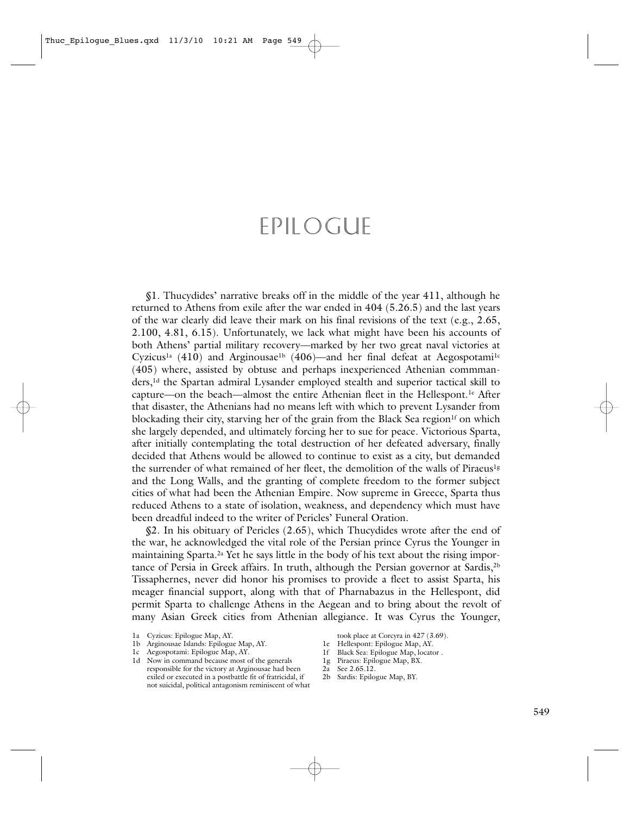# EPILOGUE

§1. Thucydides' narrative breaks off in the middle of the year 411, although he returned to Athens from exile after the war ended in 404 (5.26.5) and the last years of the war clearly did leave their mark on his final revisions of the text (e.g., 2.65, 2.100, 4.81, 6.15). Unfortunately, we lack what might have been his accounts of both Athens' partial military recovery—marked by her two great naval victories at Cyzicus<sup>1a</sup> (410) and Arginousae<sup>1b</sup> (406)—and her final defeat at Aegospotami<sup>1c</sup> (405) where, assisted by obtuse and perhaps inexperienced Athenian commmanders,1d the Spartan admiral Lysander employed stealth and superior tactical skill to capture—on the beach—almost the entire Athenian fleet in the Hellespont.<sup>1e</sup> After that disaster, the Athenians had no means left with which to prevent Lysander from blockading their city, starving her of the grain from the Black Sea region $\mathbf{I}^{\text{f}}$  on which she largely depended, and ultimately forcing her to sue for peace. Victorious Sparta, after initially contemplating the total destruction of her defeated adversary, finally decided that Athens would be allowed to continue to exist as a city, but demanded the surrender of what remained of her fleet, the demolition of the walls of Piraeus<sup>1g</sup> and the Long Walls, and the granting of complete freedom to the former subject cities of what had been the Athenian Empire. Now supreme in Greece, Sparta thus reduced Athens to a state of isolation, weakness, and dependency which must have been dreadful indeed to the writer of Pericles' Funeral Oration.

§2. In his obituary of Pericles (2.65), which Thucydides wrote after the end of the war, he acknowledged the vital role of the Persian prince Cyrus the Younger in maintaining Sparta.2a Yet he says little in the body of his text about the rising importance of Persia in Greek affairs. In truth, although the Persian governor at Sardis, <sup>2b</sup> Tissaphernes, never did honor his promises to provide a fleet to assist Sparta, his meager financial support, along with that of Pharnabazus in the Hellespont, did permit Sparta to challenge Athens in the Aegean and to bring about the revolt of many Asian Greek cities from Athenian allegiance. It was Cyrus the Younger,

1b Arginousae Islands: Epilogue Map, AY.

took place at Corcyra in 427 (3.69).

- 1e Hellespont: Epilogue Map, AY.
- 1f Black Sea: Epilogue Map, locator .
- 1g Piraeus: Epilogue Map, BX.
- 2a See 2.65.12.
- 2b Sardis: Epilogue Map, BY.

<sup>1</sup>a Cyzicus: Epilogue Map, AY.

<sup>1</sup>c Aegospotami: Epilogue Map, AY.

<sup>1</sup>d Now in command because most of the generals responsible for the victory at Arginousae had been exiled or executed in a postbattle fit of fratricidal, if not suicidal, political antagonism reminiscent of what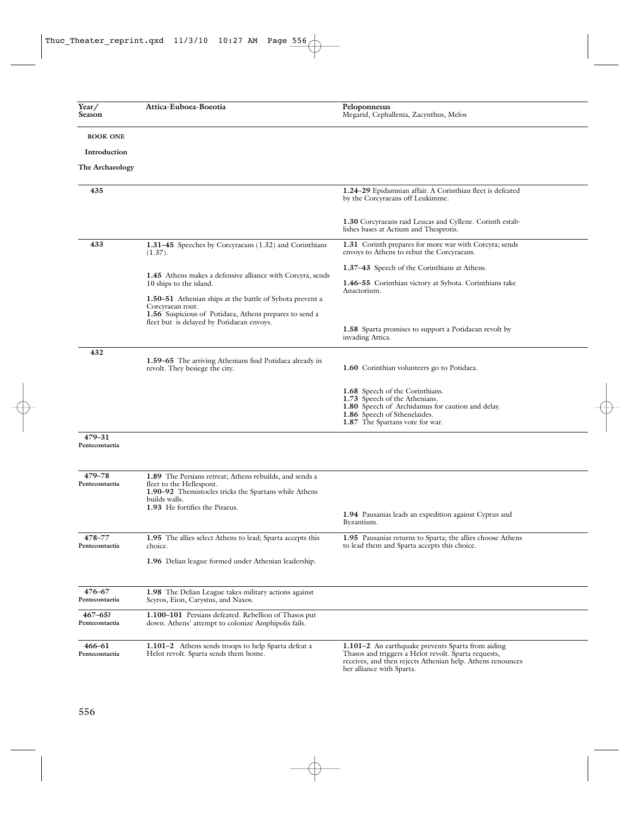| Year/<br>Season               | Attica-Euboea-Boeotia                                                                                                                                                                           | Peloponnesus<br>Megarid, Cephallenia, Zacynthus, Melos                                                                                                                                               |
|-------------------------------|-------------------------------------------------------------------------------------------------------------------------------------------------------------------------------------------------|------------------------------------------------------------------------------------------------------------------------------------------------------------------------------------------------------|
| <b>BOOK ONE</b>               |                                                                                                                                                                                                 |                                                                                                                                                                                                      |
| Introduction                  |                                                                                                                                                                                                 |                                                                                                                                                                                                      |
| The Archaeology               |                                                                                                                                                                                                 |                                                                                                                                                                                                      |
| 435                           |                                                                                                                                                                                                 | 1.24-29 Epidamnian affair. A Corinthian fleet is defeated<br>by the Corcyraeans off Leukimme.                                                                                                        |
|                               |                                                                                                                                                                                                 | 1.30 Corcyraeans raid Leucas and Cyllene. Corinth estab-<br>lishes bases at Actium and Thesprotis.                                                                                                   |
| 433                           | 1.31-45 Speeches by Corcyraeans (1.32) and Corinthians<br>(1.37).                                                                                                                               | 1.31 Corinth prepares for more war with Corcyra; sends<br>envoys to Athens to rebut the Corcyraeans.                                                                                                 |
|                               | 1.45 Athens makes a defensive alliance with Corcyra, sends<br>10 ships to the island.                                                                                                           | 1.37–43 Speech of the Corinthians at Athens.                                                                                                                                                         |
|                               |                                                                                                                                                                                                 | 1.46–55 Corinthian victory at Sybota. Corinthians take<br>Anactorium.                                                                                                                                |
|                               | 1.50–51 Athenian ships at the battle of Sybota prevent a<br>Corcyraean rout.                                                                                                                    |                                                                                                                                                                                                      |
|                               | 1.56 Suspicious of Potidaea, Athens prepares to send a<br>fleet but is delayed by Potidaean envoys.                                                                                             | 1.58 Sparta promises to support a Potidaean revolt by                                                                                                                                                |
|                               |                                                                                                                                                                                                 | invading Attica.                                                                                                                                                                                     |
| 432                           | 1.59–65 The arriving Athenians find Potidaea already in<br>revolt. They besiege the city.                                                                                                       | 1.60 Corinthian volunteers go to Potidaea.                                                                                                                                                           |
|                               |                                                                                                                                                                                                 | 1.68 Speech of the Corinthians.<br>1.73 Speech of the Athenians.<br>1.80 Speech of Archidamus for caution and delay.<br>1.86 Speech of Sthenelaides.<br>1.87 The Spartans vote for war.              |
| $479 - 31$<br>Pentecontaetia  |                                                                                                                                                                                                 |                                                                                                                                                                                                      |
| $479 - 78$<br>Pentecontaetia  | 1.89 The Persians retreat; Athens rebuilds, and sends a<br>fleet to the Hellespont.<br>1.90-92 Themistocles tricks the Spartans while Athens<br>builds walls.<br>1.93 He fortifies the Piraeus. | 1.94 Pausanias leads an expedition against Cyprus and<br>Byzantium.                                                                                                                                  |
| $478 - 77$<br>Pentecontaetia  | 1.95 The allies select Athens to lead; Sparta accepts this<br>choice.                                                                                                                           | 1.95 Pausanias returns to Sparta; the allies choose Athens<br>to lead them and Sparta accepts this choice.                                                                                           |
|                               | 1.96 Delian league formed under Athenian leadership.                                                                                                                                            |                                                                                                                                                                                                      |
| $476 - 67$<br>Pentecontaetia  | <b>1.98</b> The Delian League takes military actions against<br>Scyros, Eion, Carystus, and Naxos.                                                                                              |                                                                                                                                                                                                      |
| $467 - 65?$<br>Pentecontaetia | 1.100-101 Persians defeated. Rebellion of Thasos put<br>down. Athens' attempt to colonize Amphipolis fails.                                                                                     |                                                                                                                                                                                                      |
| 466-61<br>Pentecontaetia      | 1.101-2 Athens sends troops to help Sparta defeat a<br>Helot revolt. Sparta sends them home.                                                                                                    | 1.101-2 An earthquake prevents Sparta from aiding<br>Thasos and triggers a Helot revolt. Sparta requests,<br>receives, and then rejects Athenian help. Athens renounces<br>her alliance with Sparta. |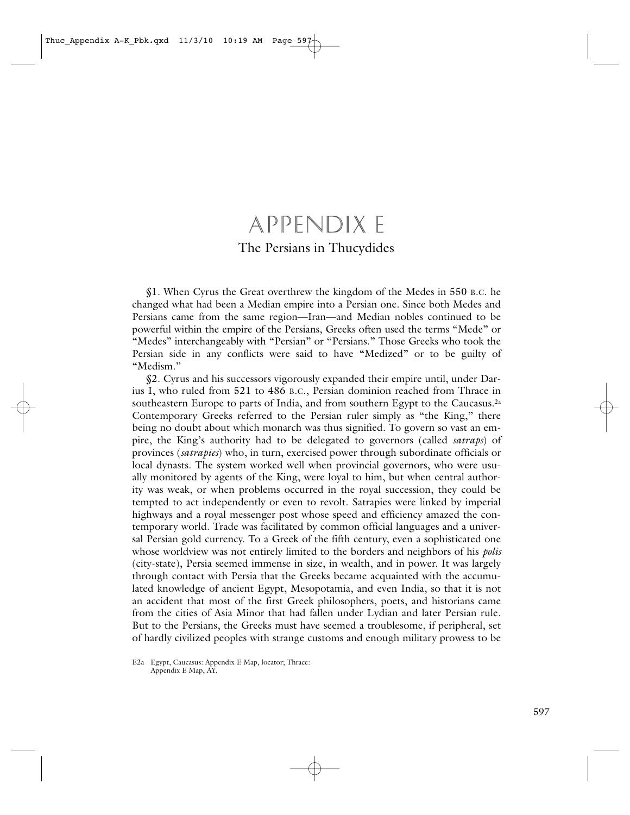### APPENDIX E The Persians in Thucydides

§1. When Cyrus the Great overthrew the kingdom of the Medes in 550 B.C. he changed what had been a Median empire into a Persian one. Since both Medes and Persians came from the same region—Iran—and Median nobles continued to be powerful within the empire of the Persians, Greeks often used the terms "Mede" or "Medes" interchangeably with "Persian" or "Persians." Those Greeks who took the Persian side in any conflicts were said to have "Medized" or to be guilty of "Medism."

§2. Cyrus and his successors vigorously expanded their empire until, under Darius I, who ruled from 521 to 486 B.C., Persian dominion reached from Thrace in southeastern Europe to parts of India, and from southern Egypt to the Caucasus.<sup>2a</sup> Contemporary Greeks referred to the Persian ruler simply as "the King," there being no doubt about which monarch was thus signified. To govern so vast an empire, the King's authority had to be delegated to governors (called *satraps*) of provinces (*satrapies*) who, in turn, exercised power through subordinate officials or local dynasts. The system worked well when provincial governors, who were usually monitored by agents of the King, were loyal to him, but when central authority was weak, or when problems occurred in the royal succession, they could be tempted to act independently or even to revolt. Satrapies were linked by imperial highways and a royal messenger post whose speed and efficiency amazed the contemporary world. Trade was facilitated by common official languages and a universal Persian gold currency. To a Greek of the fifth century, even a sophisticated one whose worldview was not entirely limited to the borders and neighbors of his *polis* (city-state), Persia seemed immense in size, in wealth, and in power. It was largely through contact with Persia that the Greeks became acquainted with the accumulated knowledge of ancient Egypt, Mesopotamia, and even India, so that it is not an accident that most of the first Greek philosophers, poets, and historians came from the cities of Asia Minor that had fallen under Lydian and later Persian rule. But to the Persians, the Greeks must have seemed a troublesome, if peripheral, set of hardly civilized peoples with strange customs and enough military prowess to be

E2a Egypt, Caucasus: Appendix E Map, locator; Thrace: Appendix E Map, AY.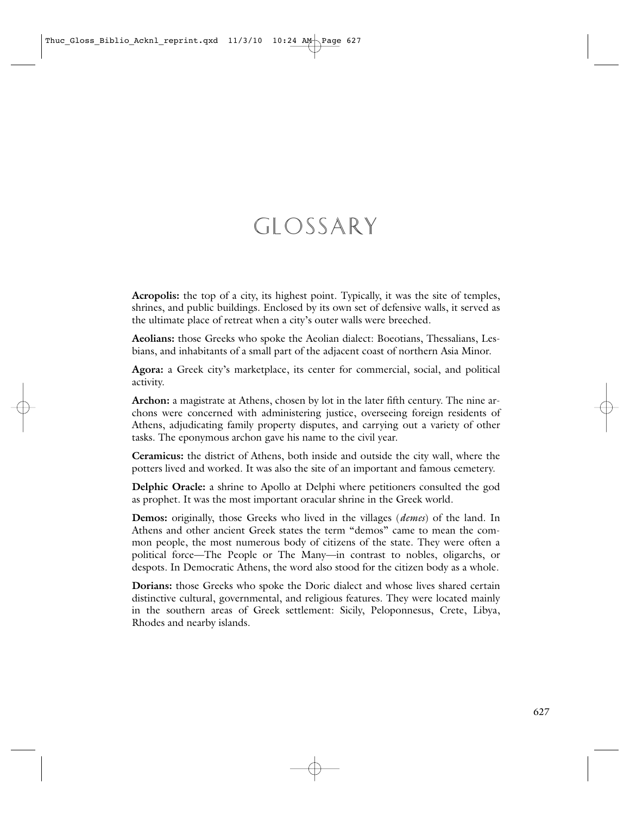# $GLOSSARY$

**Acropolis:** the top of a city, its highest point. Typically, it was the site of temples, shrines, and public buildings. Enclosed by its own set of defensive walls, it served as the ultimate place of retreat when a city's outer walls were breeched.

**Aeolians:** those Greeks who spoke the Aeolian dialect: Boeotians, Thessalians, Lesbians, and inhabitants of a small part of the adjacent coast of northern Asia Minor.

**Agora:** a Greek city's marketplace, its center for commercial, social, and political activity.

**Archon:** a magistrate at Athens, chosen by lot in the later fifth century. The nine archons were concerned with administering justice, overseeing foreign residents of Athens, adjudicating family property disputes, and carrying out a variety of other tasks. The eponymous archon gave his name to the civil year.

**Ceramicus:** the district of Athens, both inside and outside the city wall, where the potters lived and worked. It was also the site of an important and famous cemetery.

**Delphic Oracle:** a shrine to Apollo at Delphi where petitioners consulted the god as prophet. It was the most important oracular shrine in the Greek world.

**Demos:** originally, those Greeks who lived in the villages (*demes*) of the land. In Athens and other ancient Greek states the term "demos" came to mean the common people, the most numerous body of citizens of the state. They were often a political force—The People or The Many—in contrast to nobles, oligarchs, or despots. In Democratic Athens, the word also stood for the citizen body as a whole.

**Dorians:** those Greeks who spoke the Doric dialect and whose lives shared certain distinctive cultural, governmental, and religious features. They were located mainly in the southern areas of Greek settlement: Sicily, Peloponnesus, Crete, Libya, Rhodes and nearby islands.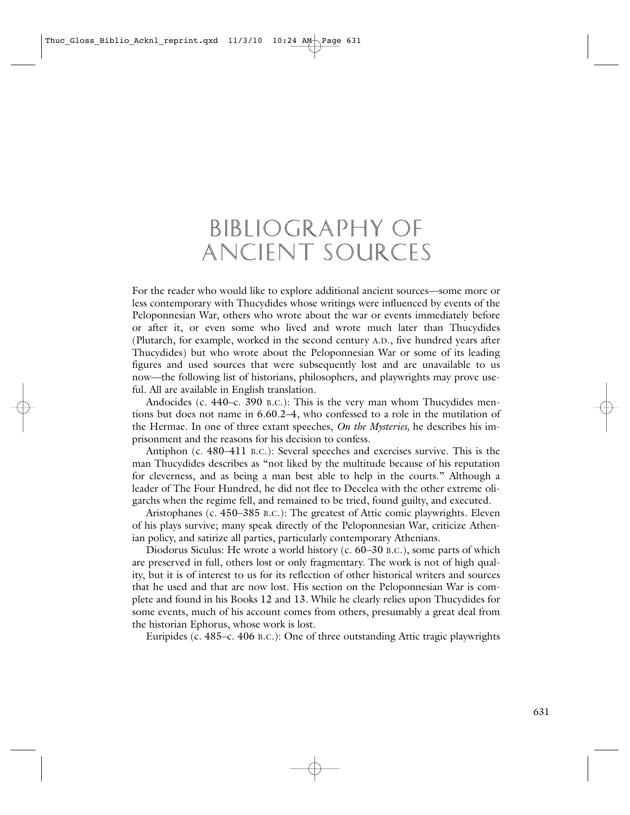# BIBLIOGRAPHY OF ANCIENT SOURCES

For the reader who would like to explore additional ancient sources—some more or less contemporary with Thucydides whose writings were influenced by events of the Peloponnesian War, others who wrote about the war or events immediately before or after it, or even some who lived and wrote much later than Thucydides (Plutarch, for example, worked in the second century A.D., five hundred years after Thucydides) but who wrote about the Peloponnesian War or some of its leading figures and used sources that were subsequently lost and are unavailable to us now—the following list of historians, philosophers, and playwrights may prove useful. All are available in English translation.

Andocides (c. 440–c. 390 B.C.): This is the very man whom Thucydides mentions but does not name in 6.60.2–4, who confessed to a role in the mutilation of the Hermae. In one of three extant speeches, *On the Mysteries,* he describes his imprisonment and the reasons for his decision to confess.

Antiphon (c. 480–411 B.C.): Several speeches and exercises survive. This is the man Thucydides describes as "not liked by the multitude because of his reputation for cleverness, and as being a man best able to help in the courts." Although a leader of The Four Hundred, he did not flee to Decelea with the other extreme oligarchs when the regime fell, and remained to be tried, found guilty, and executed.

Aristophanes (c. 450–385 B.C.): The greatest of Attic comic playwrights. Eleven of his plays survive; many speak directly of the Peloponnesian War, criticize Athenian policy, and satirize all parties, particularly contemporary Athenians.

Diodorus Siculus: He wrote a world history (c. 60–30 B.C.), some parts of which are preserved in full, others lost or only fragmentary. The work is not of high quality, but it is of interest to us for its reflection of other historical writers and sources that he used and that are now lost. His section on the Peloponnesian War is complete and found in his Books 12 and 13. While he clearly relies upon Thucydides for some events, much of his account comes from others, presumably a great deal from the historian Ephorus, whose work is lost.

Euripides (c. 485–c. 406 B.C.): One of three outstanding Attic tragic playwrights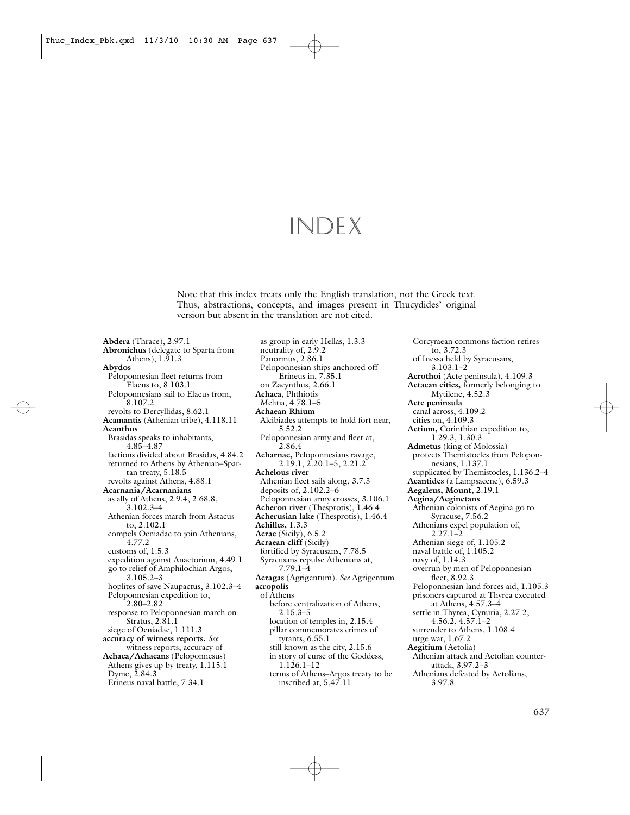# INDEX

Note that this index treats only the English translation, not the Greek text. Thus, abstractions, concepts, and images present in Thucydides' original version but absent in the translation are not cited.

**Abdera** (Thrace), 2.97.1 **Abronichus** (delegate to Sparta from Athens), 1.91.3 **Abydos** Peloponnesian fleet returns from Elaeus to, 8.103.1 Peloponnesians sail to Elaeus from, 8.107.2 revolts to Dercyllidas, 8.62.1 **Acamantis** (Athenian tribe), 4.118.11 **Acanthus** Brasidas speaks to inhabitants, 4.85–4.87 factions divided about Brasidas, 4.84.2 returned to Athens by Athenian–Spartan treaty, 5.18.5 revolts against Athens, 4.88.1 **Acarnania/Acarnanians** as ally of Athens, 2.9.4, 2.68.8, 3.102.3–4 Athenian forces march from Astacus to, 2.102.1 compels Oeniadae to join Athenians, 4.77.2 customs of, 1.5.3 expedition against Anactorium, 4.49.1 go to relief of Amphilochian Argos, 3.105.2–3 hoplites of save Naupactus, 3.102.3–4 Peloponnesian expedition to, 2.80–2.82 response to Peloponnesian march on Stratus, 2.81.1 siege of Oeniadae, 1.111.3 **accuracy of witness reports.** *See* witness reports, accuracy of **Achaea/Achaeans** (Peloponnesus) Athens gives up by treaty, 1.115.1 Dyme,  $\tilde{2}.84.3$ Erineus naval battle, 7.34.1

as group in early Hellas, 1.3.3 neutrality of, 2.9.2 Panormus, 2.86.1 Peloponnesian ships anchored off Erineus in, 7.35.1 on Zacynthus, 2.66.1 **Achaea,** Phthiotis Melitia, 4.78.1–5 **Achaean Rhium** Alcibiades attempts to hold fort near, 5.52.2 Peloponnesian army and fleet at, 2.86.4 **Acharnae,** Peloponnesians ravage,  $2.19.1, 2.20.1 - 5, 2.21.2$ **Achelous river** Athenian fleet sails along, 3.7.3 deposits of, 2.102.2–6 Peloponnesian army crosses, 3.106.1 **Acheron river** (Thesprotis), 1.46.4 **Acherusian lake** (Thesprotis), 1.46.4 **Achilles,** 1.3.3 **Acrae** (Sicily), 6.5.2 **Acraean cliff** (Sicily) fortified by Syracusans, 7.78.5 Syracusans repulse Athenians at, 7.79.1–4 **Acragas** (Agrigentum). *See* Agrigentum **acropolis** of Athens before centralization of Athens, 2.15.3–5 location of temples in, 2.15.4 pillar commemorates crimes of tyrants, 6.55.1 still known as the city, 2.15.6 in story of curse of the Goddess, 1.126.1–12 terms of Athens–Argos treaty to be inscribed at, 5.47.11

Corcyraean commons faction retires to, 3.72.3 of Inessa held by Syracusans, 3.103.1–2 **Acrothoi** (Acte peninsula), 4.109.3 **Actaean cities,** formerly belonging to Mytilene, 4.52.3 **Acte peninsula** canal across, 4.109.2 cities on, 4.109.3 **Actium,** Corinthian expedition to, 1.29.3, 1.30.3 **Admetus** (king of Molossia) protects Themistocles from Peloponnesians, 1.137.1 supplicated by Themistocles, 1.136.2–4 **Aeantides** (a Lampsacene), 6.59.3 **Aegaleus, Mount,** 2.19.1 **Aegina/Aeginetans** Athenian colonists of Aegina go to Syracuse, 7.56.2 Athenians expel population of,  $2.27.1 - 2$ Athenian siege of, 1.105.2 naval battle of, 1.105.2 navy of, 1.14.3 overrun by men of Peloponnesian fleet, 8.92.3 Peloponnesian land forces aid, 1.105.3 prisoners captured at Thyrea executed at Athens, 4.57.3–4 settle in Thyrea, Cynuria, 2.27.2, 4.56.2, 4.57.1–2 surrender to Athens, 1.108.4 urge war, 1.67.2 **Aegitium** (Aetolia) Athenian attack and Aetolian counterattack, 3.97.2–3 Athenians defeated by Aetolians, 3.97.8